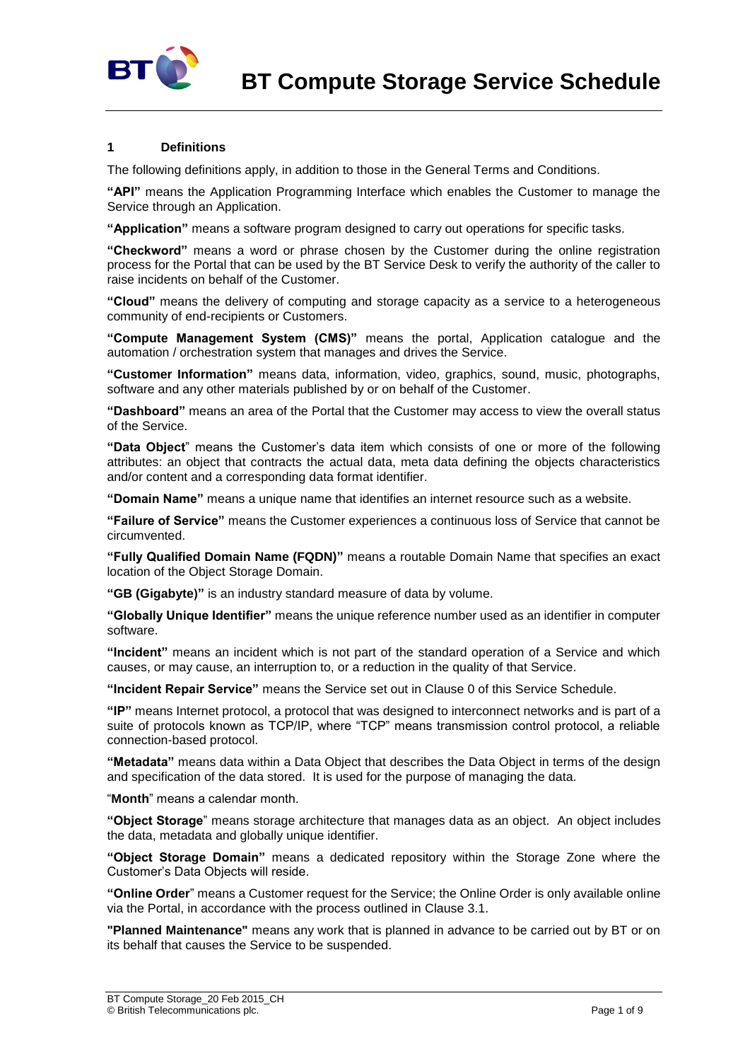

### **1 Definitions**

The following definitions apply, in addition to those in the General Terms and Conditions.

**"API"** means the Application Programming Interface which enables the Customer to manage the Service through an Application.

**"Application"** means a software program designed to carry out operations for specific tasks.

**"Checkword"** means a word or phrase chosen by the Customer during the online registration process for the Portal that can be used by the BT Service Desk to verify the authority of the caller to raise incidents on behalf of the Customer.

**"Cloud"** means the delivery of computing and storage capacity as a service to a heterogeneous community of end-recipients or Customers.

**"Compute Management System (CMS)"** means the portal, Application catalogue and the automation / orchestration system that manages and drives the Service.

**"Customer Information"** means data, information, video, graphics, sound, music, photographs, software and any other materials published by or on behalf of the Customer.

**"Dashboard"** means an area of the Portal that the Customer may access to view the overall status of the Service.

**"Data Object**" means the Customer's data item which consists of one or more of the following attributes: an object that contracts the actual data, meta data defining the objects characteristics and/or content and a corresponding data format identifier.

**"Domain Name"** means a unique name that identifies an internet resource such as a website.

**"Failure of Service"** means the Customer experiences a continuous loss of Service that cannot be circumvented.

**"Fully Qualified Domain Name (FQDN)"** means a routable Domain Name that specifies an exact location of the Object Storage Domain.

**"GB (Gigabyte)"** is an industry standard measure of data by volume.

**"Globally Unique Identifier"** means the unique reference number used as an identifier in computer software.

**"Incident"** means an incident which is not part of the standard operation of a Service and which causes, or may cause, an interruption to, or a reduction in the quality of that Service.

**"Incident Repair Service"** means the Service set out in Clause [0](#page-3-0) of this Service Schedule.

**"IP"** means Internet protocol, a protocol that was designed to interconnect networks and is part of a suite of protocols known as TCP/IP, where "TCP" means transmission control protocol, a reliable connection-based protocol.

**"Metadata"** means data within a Data Object that describes the Data Object in terms of the design and specification of the data stored. It is used for the purpose of managing the data.

"**Month**" means a calendar month.

**"Object Storage**" means storage architecture that manages data as an object. An object includes the data, metadata and globally unique identifier.

**"Object Storage Domain"** means a dedicated repository within the Storage Zone where the Customer's Data Objects will reside.

**"Online Order**" means a Customer request for the Service; the Online Order is only available online via the Portal, in accordance with the process outlined in Clause [3.1.](#page-1-0)

**"Planned Maintenance"** means any work that is planned in advance to be carried out by BT or on its behalf that causes the Service to be suspended.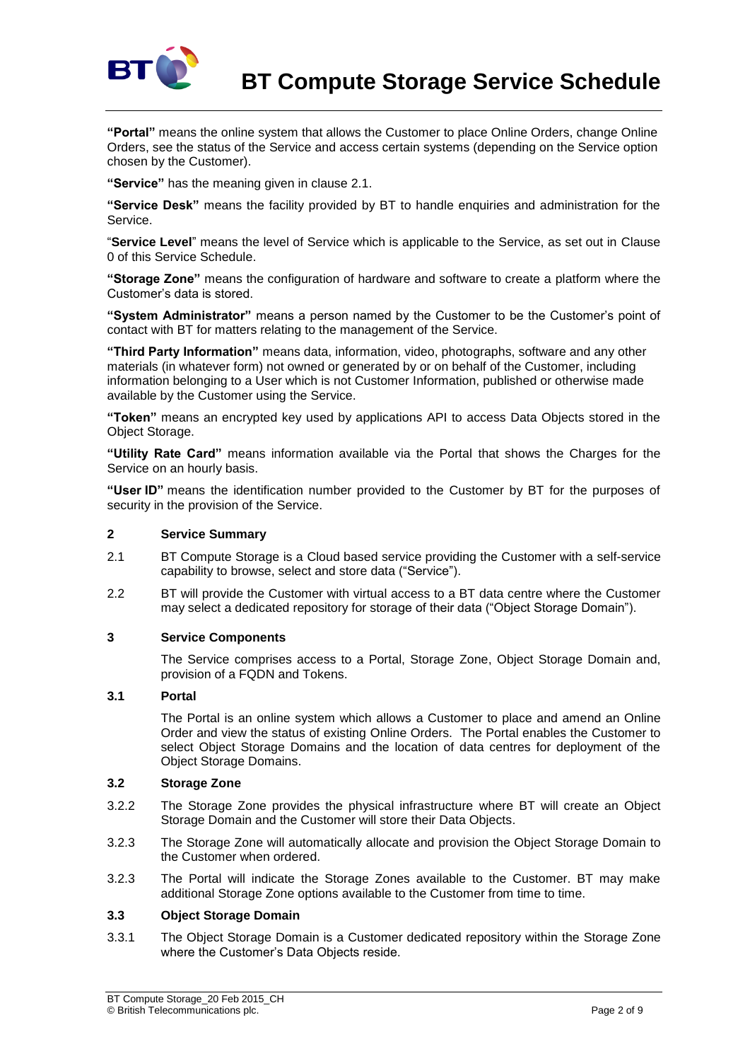

**"Portal"** means the online system that allows the Customer to place Online Orders, change Online Orders, see the status of the Service and access certain systems (depending on the Service option chosen by the Customer).

**"Service"** has the meaning given in clause 2.1.

**"Service Desk"** means the facility provided by BT to handle enquiries and administration for the Service.

"**Service Level**" means the level of Service which is applicable to the Service, as set out in Clause [0](#page-6-0) of this Service Schedule.

**"Storage Zone"** means the configuration of hardware and software to create a platform where the Customer's data is stored.

**"System Administrator"** means a person named by the Customer to be the Customer's point of contact with BT for matters relating to the management of the Service.

**"Third Party Information"** means data, information, video, photographs, software and any other materials (in whatever form) not owned or generated by or on behalf of the Customer, including information belonging to a User which is not Customer Information, published or otherwise made available by the Customer using the Service.

**"Token"** means an encrypted key used by applications API to access Data Objects stored in the Object Storage.

**"Utility Rate Card"** means information available via the Portal that shows the Charges for the Service on an hourly basis.

**"User ID"** means the identification number provided to the Customer by BT for the purposes of security in the provision of the Service.

### **2 Service Summary**

- 2.1 BT Compute Storage is a Cloud based service providing the Customer with a self-service capability to browse, select and store data ("Service").
- 2.2 BT will provide the Customer with virtual access to a BT data centre where the Customer may select a dedicated repository for storage of their data ("Object Storage Domain").

### **3 Service Components**

The Service comprises access to a Portal, Storage Zone, Object Storage Domain and, provision of a FQDN and Tokens.

### <span id="page-1-0"></span>**3.1 Portal**

The Portal is an online system which allows a Customer to place and amend an Online Order and view the status of existing Online Orders. The Portal enables the Customer to select Object Storage Domains and the location of data centres for deployment of the Object Storage Domains.

### **3.2 Storage Zone**

- 3.2.2 The Storage Zone provides the physical infrastructure where BT will create an Object Storage Domain and the Customer will store their Data Objects.
- 3.2.3 The Storage Zone will automatically allocate and provision the Object Storage Domain to the Customer when ordered.
- 3.2.3 The Portal will indicate the Storage Zones available to the Customer. BT may make additional Storage Zone options available to the Customer from time to time.

## **3.3 Object Storage Domain**

3.3.1 The Object Storage Domain is a Customer dedicated repository within the Storage Zone where the Customer's Data Objects reside.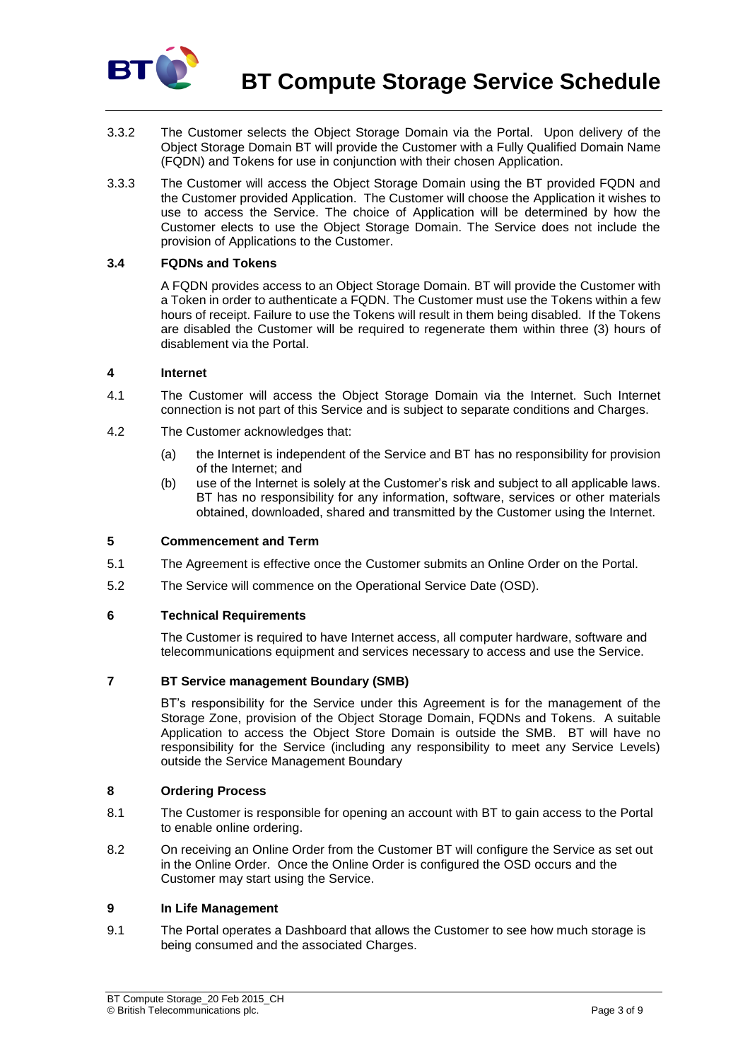

- 3.3.2 The Customer selects the Object Storage Domain via the Portal. Upon delivery of the Object Storage Domain BT will provide the Customer with a Fully Qualified Domain Name (FQDN) and Tokens for use in conjunction with their chosen Application.
- 3.3.3 The Customer will access the Object Storage Domain using the BT provided FQDN and the Customer provided Application. The Customer will choose the Application it wishes to use to access the Service. The choice of Application will be determined by how the Customer elects to use the Object Storage Domain. The Service does not include the provision of Applications to the Customer.

## **3.4 FQDNs and Tokens**

A FQDN provides access to an Object Storage Domain. BT will provide the Customer with a Token in order to authenticate a FQDN. The Customer must use the Tokens within a few hours of receipt. Failure to use the Tokens will result in them being disabled. If the Tokens are disabled the Customer will be required to regenerate them within three (3) hours of disablement via the Portal.

### **4 Internet**

- 4.1 The Customer will access the Object Storage Domain via the Internet. Such Internet connection is not part of this Service and is subject to separate conditions and Charges.
- 4.2 The Customer acknowledges that:
	- (a) the Internet is independent of the Service and BT has no responsibility for provision of the Internet; and
	- (b) use of the Internet is solely at the Customer's risk and subject to all applicable laws. BT has no responsibility for any information, software, services or other materials obtained, downloaded, shared and transmitted by the Customer using the Internet.

### **5 Commencement and Term**

- 5.1 The Agreement is effective once the Customer submits an Online Order on the Portal.
- 5.2 The Service will commence on the Operational Service Date (OSD).

## **6 Technical Requirements**

The Customer is required to have Internet access, all computer hardware, software and telecommunications equipment and services necessary to access and use the Service.

### **7 BT Service management Boundary (SMB)**

BT's responsibility for the Service under this Agreement is for the management of the Storage Zone, provision of the Object Storage Domain, FQDNs and Tokens. A suitable Application to access the Object Store Domain is outside the SMB. BT will have no responsibility for the Service (including any responsibility to meet any Service Levels) outside the Service Management Boundary

### **8 Ordering Process**

- 8.1 The Customer is responsible for opening an account with BT to gain access to the Portal to enable online ordering.
- 8.2 On receiving an Online Order from the Customer BT will configure the Service as set out in the Online Order. Once the Online Order is configured the OSD occurs and the Customer may start using the Service.

### **9 In Life Management**

9.1 The Portal operates a Dashboard that allows the Customer to see how much storage is being consumed and the associated Charges.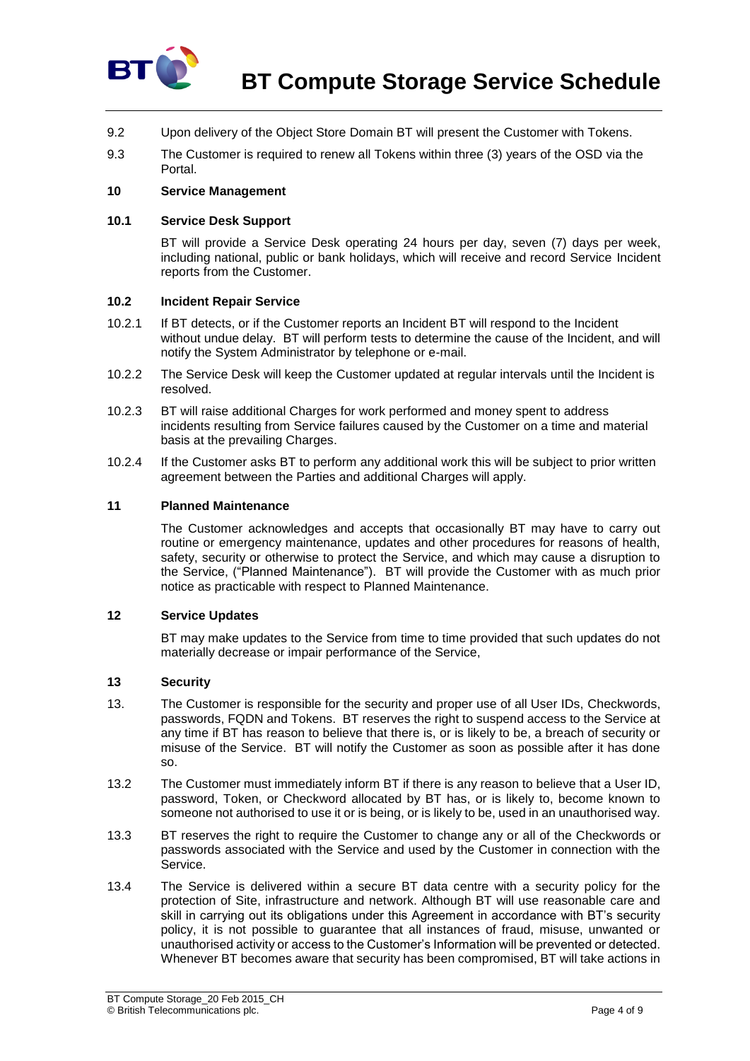

- 9.2 Upon delivery of the Object Store Domain BT will present the Customer with Tokens.
- 9.3 The Customer is required to renew all Tokens within three (3) years of the OSD via the Portal.

### **10 Service Management**

### **10.1 Service Desk Support**

BT will provide a Service Desk operating 24 hours per day, seven (7) days per week, including national, public or bank holidays, which will receive and record Service Incident reports from the Customer.

### <span id="page-3-0"></span>**10.2 Incident Repair Service**

- 10.2.1 If BT detects, or if the Customer reports an Incident BT will respond to the Incident without undue delay. BT will perform tests to determine the cause of the Incident, and will notify the System Administrator by telephone or e-mail.
- 10.2.2 The Service Desk will keep the Customer updated at regular intervals until the Incident is resolved.
- 10.2.3 BT will raise additional Charges for work performed and money spent to address incidents resulting from Service failures caused by the Customer on a time and material basis at the prevailing Charges.
- 10.2.4 If the Customer asks BT to perform any additional work this will be subject to prior written agreement between the Parties and additional Charges will apply.

### **11 Planned Maintenance**

The Customer acknowledges and accepts that occasionally BT may have to carry out routine or emergency maintenance, updates and other procedures for reasons of health, safety, security or otherwise to protect the Service, and which may cause a disruption to the Service, ("Planned Maintenance"). BT will provide the Customer with as much prior notice as practicable with respect to Planned Maintenance.

### **12 Service Updates**

BT may make updates to the Service from time to time provided that such updates do not materially decrease or impair performance of the Service,

### **13 Security**

- 13. The Customer is responsible for the security and proper use of all User IDs, Checkwords, passwords, FQDN and Tokens. BT reserves the right to suspend access to the Service at any time if BT has reason to believe that there is, or is likely to be, a breach of security or misuse of the Service. BT will notify the Customer as soon as possible after it has done so.
- 13.2 The Customer must immediately inform BT if there is any reason to believe that a User ID, password, Token, or Checkword allocated by BT has, or is likely to, become known to someone not authorised to use it or is being, or is likely to be, used in an unauthorised way.
- 13.3 BT reserves the right to require the Customer to change any or all of the Checkwords or passwords associated with the Service and used by the Customer in connection with the Service.
- 13.4 The Service is delivered within a secure BT data centre with a security policy for the protection of Site, infrastructure and network. Although BT will use reasonable care and skill in carrying out its obligations under this Agreement in accordance with BT's security policy, it is not possible to guarantee that all instances of fraud, misuse, unwanted or unauthorised activity or access to the Customer's Information will be prevented or detected. Whenever BT becomes aware that security has been compromised, BT will take actions in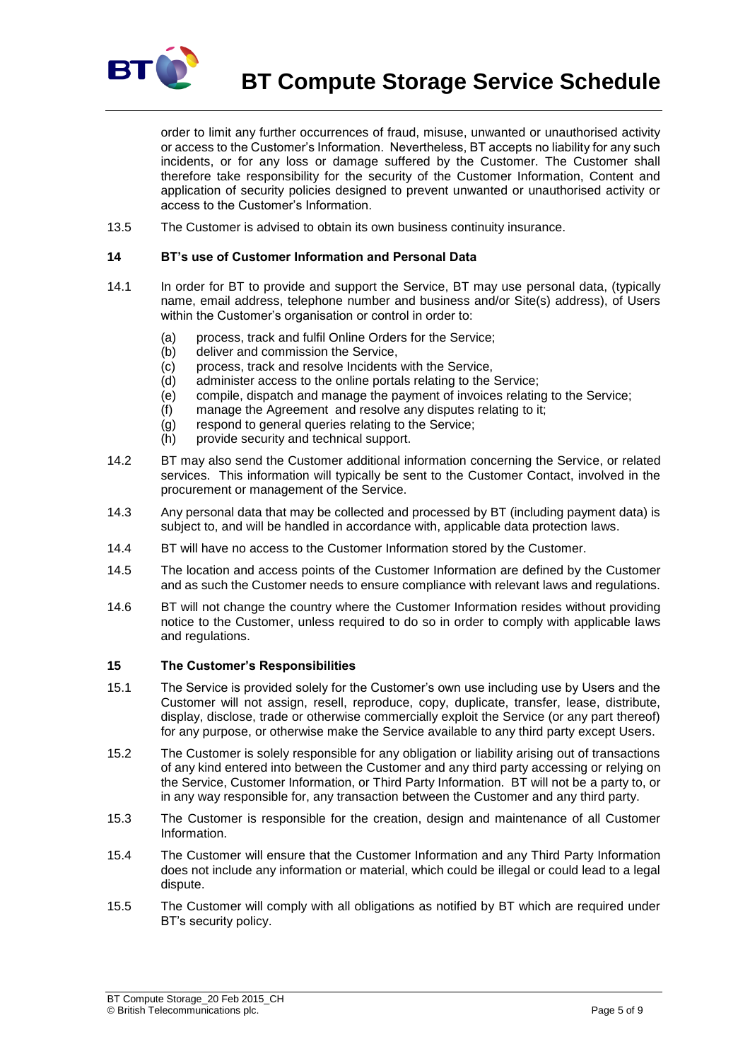

**BT Compute Storage Service Schedule**

order to limit any further occurrences of fraud, misuse, unwanted or unauthorised activity or access to the Customer's Information. Nevertheless, BT accepts no liability for any such incidents, or for any loss or damage suffered by the Customer. The Customer shall therefore take responsibility for the security of the Customer Information, Content and application of security policies designed to prevent unwanted or unauthorised activity or access to the Customer's Information.

13.5 The Customer is advised to obtain its own business continuity insurance.

## **14 BT's use of Customer Information and Personal Data**

- 14.1 In order for BT to provide and support the Service, BT may use personal data, (typically name, email address, telephone number and business and/or Site(s) address), of Users within the Customer's organisation or control in order to:
	- (a) process, track and fulfil Online Orders for the Service;
	- (b) deliver and commission the Service,
	- (c) process, track and resolve Incidents with the Service,
	- (d) administer access to the online portals relating to the Service;
	- (e) compile, dispatch and manage the payment of invoices relating to the Service;
	- (f) manage the Agreement and resolve any disputes relating to it;
	- (g) respond to general queries relating to the Service;
	- (h) provide security and technical support.
- 14.2 BT may also send the Customer additional information concerning the Service, or related services. This information will typically be sent to the Customer Contact, involved in the procurement or management of the Service.
- 14.3 Any personal data that may be collected and processed by BT (including payment data) is subject to, and will be handled in accordance with, applicable data protection laws.
- 14.4 BT will have no access to the Customer Information stored by the Customer.
- 14.5 The location and access points of the Customer Information are defined by the Customer and as such the Customer needs to ensure compliance with relevant laws and regulations.
- 14.6 BT will not change the country where the Customer Information resides without providing notice to the Customer, unless required to do so in order to comply with applicable laws and regulations.

### <span id="page-4-0"></span>**15 The Customer's Responsibilities**

- 15.1 The Service is provided solely for the Customer's own use including use by Users and the Customer will not assign, resell, reproduce, copy, duplicate, transfer, lease, distribute, display, disclose, trade or otherwise commercially exploit the Service (or any part thereof) for any purpose, or otherwise make the Service available to any third party except Users.
- 15.2 The Customer is solely responsible for any obligation or liability arising out of transactions of any kind entered into between the Customer and any third party accessing or relying on the Service, Customer Information, or Third Party Information. BT will not be a party to, or in any way responsible for, any transaction between the Customer and any third party.
- 15.3 The Customer is responsible for the creation, design and maintenance of all Customer Information.
- 15.4 The Customer will ensure that the Customer Information and any Third Party Information does not include any information or material, which could be illegal or could lead to a legal dispute.
- 15.5 The Customer will comply with all obligations as notified by BT which are required under BT's security policy.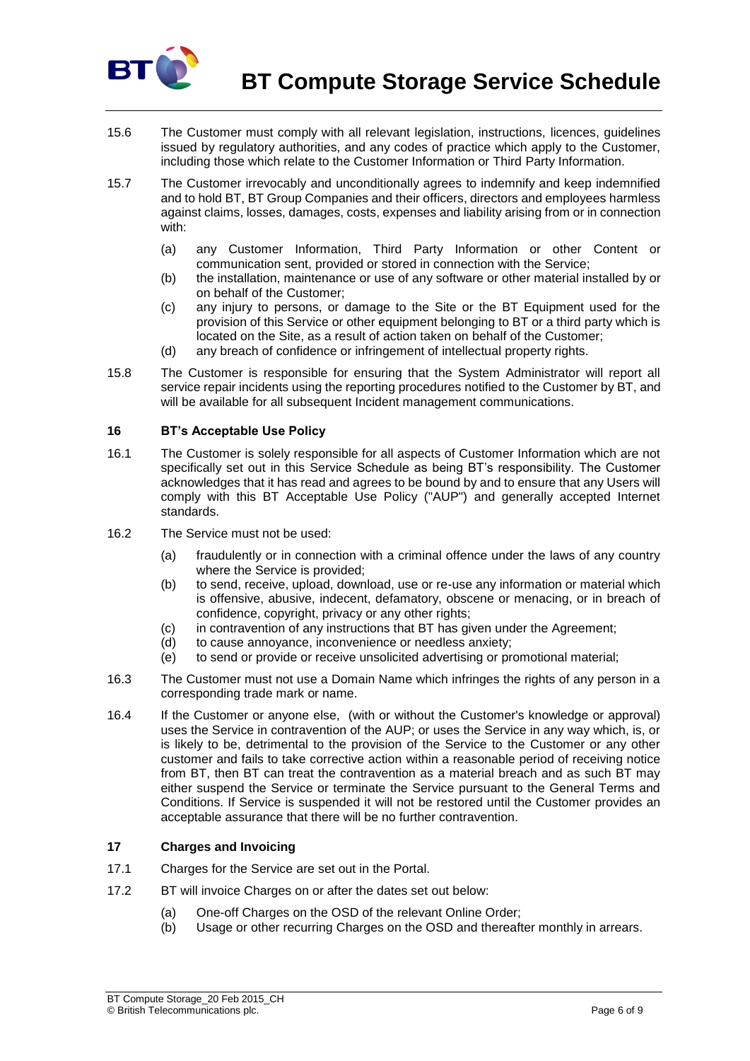

**BT Compute Storage Service Schedule**

- 15.6 The Customer must comply with all relevant legislation, instructions, licences, guidelines issued by regulatory authorities, and any codes of practice which apply to the Customer, including those which relate to the Customer Information or Third Party Information.
- 15.7 The Customer irrevocably and unconditionally agrees to indemnify and keep indemnified and to hold BT, BT Group Companies and their officers, directors and employees harmless against claims, losses, damages, costs, expenses and liability arising from or in connection with:
	- (a) any Customer Information, Third Party Information or other Content or communication sent, provided or stored in connection with the Service;
	- (b) the installation, maintenance or use of any software or other material installed by or on behalf of the Customer;
	- (c) any injury to persons, or damage to the Site or the BT Equipment used for the provision of this Service or other equipment belonging to BT or a third party which is located on the Site, as a result of action taken on behalf of the Customer;
	- (d) any breach of confidence or infringement of intellectual property rights.
- 15.8 The Customer is responsible for ensuring that the System Administrator will report all service repair incidents using the reporting procedures notified to the Customer by BT, and will be available for all subsequent Incident management communications.

### **16 BT's Acceptable Use Policy**

- 16.1 The Customer is solely responsible for all aspects of Customer Information which are not specifically set out in this Service Schedule as being BT's responsibility. The Customer acknowledges that it has read and agrees to be bound by and to ensure that any Users will comply with this BT Acceptable Use Policy ("AUP") and generally accepted Internet standards.
- 16.2 The Service must not be used:
	- (a) fraudulently or in connection with a criminal offence under the laws of any country where the Service is provided;
	- (b) to send, receive, upload, download, use or re-use any information or material which is offensive, abusive, indecent, defamatory, obscene or menacing, or in breach of confidence, copyright, privacy or any other rights;
	- (c) in contravention of any instructions that BT has given under the Agreement;
	- (d) to cause annoyance, inconvenience or needless anxiety;
	- (e) to send or provide or receive unsolicited advertising or promotional material;
- 16.3 The Customer must not use a Domain Name which infringes the rights of any person in a corresponding trade mark or name.
- 16.4 If the Customer or anyone else, (with or without the Customer's knowledge or approval) uses the Service in contravention of the AUP; or uses the Service in any way which, is, or is likely to be, detrimental to the provision of the Service to the Customer or any other customer and fails to take corrective action within a reasonable period of receiving notice from BT, then BT can treat the contravention as a material breach and as such BT may either suspend the Service or terminate the Service pursuant to the General Terms and Conditions. If Service is suspended it will not be restored until the Customer provides an acceptable assurance that there will be no further contravention.

# **17 Charges and Invoicing**

- 17.1 Charges for the Service are set out in the Portal.
- 17.2 BT will invoice Charges on or after the dates set out below:
	- (a) One-off Charges on the OSD of the relevant Online Order;
	- (b) Usage or other recurring Charges on the OSD and thereafter monthly in arrears.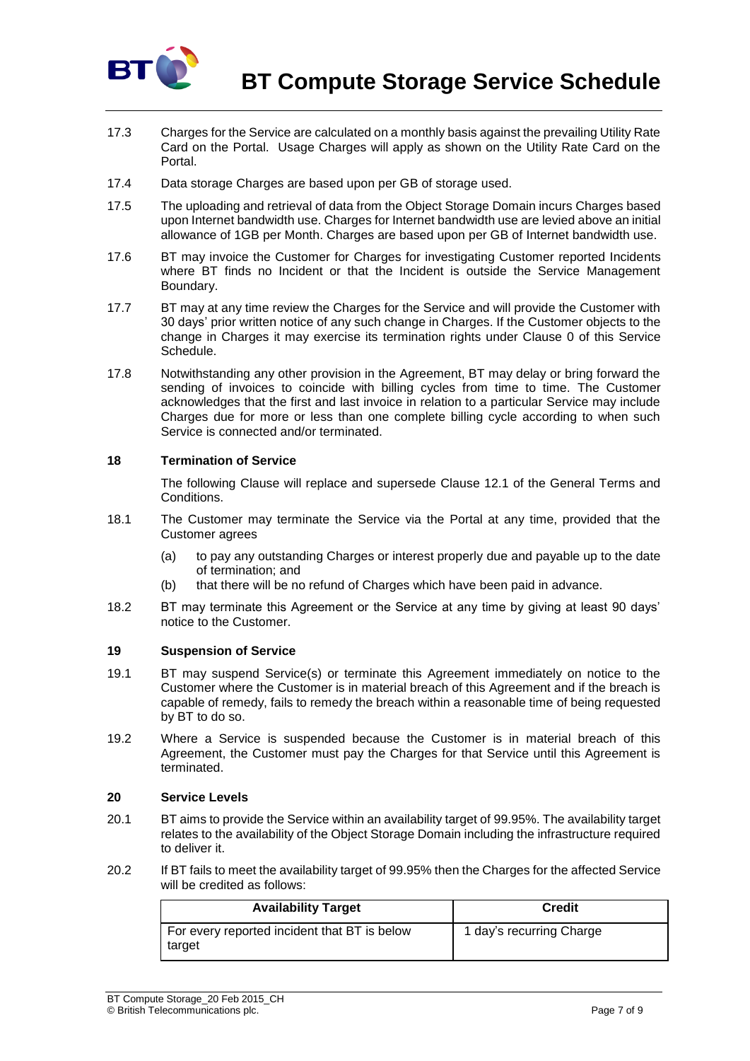

- 17.3 Charges for the Service are calculated on a monthly basis against the prevailing Utility Rate Card on the Portal. Usage Charges will apply as shown on the Utility Rate Card on the Portal.
- 17.4 Data storage Charges are based upon per GB of storage used.
- 17.5 The uploading and retrieval of data from the Object Storage Domain incurs Charges based upon Internet bandwidth use. Charges for Internet bandwidth use are levied above an initial allowance of 1GB per Month. Charges are based upon per GB of Internet bandwidth use.
- 17.6 BT may invoice the Customer for Charges for investigating Customer reported Incidents where BT finds no Incident or that the Incident is outside the Service Management Boundary.
- 17.7 BT may at any time review the Charges for the Service and will provide the Customer with 30 days' prior written notice of any such change in Charges. If the Customer objects to the change in Charges it may exercise its termination rights under Clause [0](#page-6-1) of this Service Schedule.
- 17.8 Notwithstanding any other provision in the Agreement, BT may delay or bring forward the sending of invoices to coincide with billing cycles from time to time. The Customer acknowledges that the first and last invoice in relation to a particular Service may include Charges due for more or less than one complete billing cycle according to when such Service is connected and/or terminated.

### <span id="page-6-1"></span>**18 Termination of Service**

The following Clause will replace and supersede Clause 12.1 of the General Terms and Conditions.

- 18.1 The Customer may terminate the Service via the Portal at any time, provided that the Customer agrees
	- (a) to pay any outstanding Charges or interest properly due and payable up to the date of termination; and
	- (b) that there will be no refund of Charges which have been paid in advance.
- 18.2 BT may terminate this Agreement or the Service at any time by giving at least 90 days' notice to the Customer.

### **19 Suspension of Service**

- 19.1 BT may suspend Service(s) or terminate this Agreement immediately on notice to the Customer where the Customer is in material breach of this Agreement and if the breach is capable of remedy, fails to remedy the breach within a reasonable time of being requested by BT to do so.
- 19.2 Where a Service is suspended because the Customer is in material breach of this Agreement, the Customer must pay the Charges for that Service until this Agreement is terminated.

### <span id="page-6-0"></span>**20 Service Levels**

- 20.1 BT aims to provide the Service within an availability target of 99.95%. The availability target relates to the availability of the Object Storage Domain including the infrastructure required to deliver it.
- 20.2 If BT fails to meet the availability target of 99.95% then the Charges for the affected Service will be credited as follows:

| <b>Availability Target</b>                             | <b>Credit</b>            |
|--------------------------------------------------------|--------------------------|
| For every reported incident that BT is below<br>target | 1 day's recurring Charge |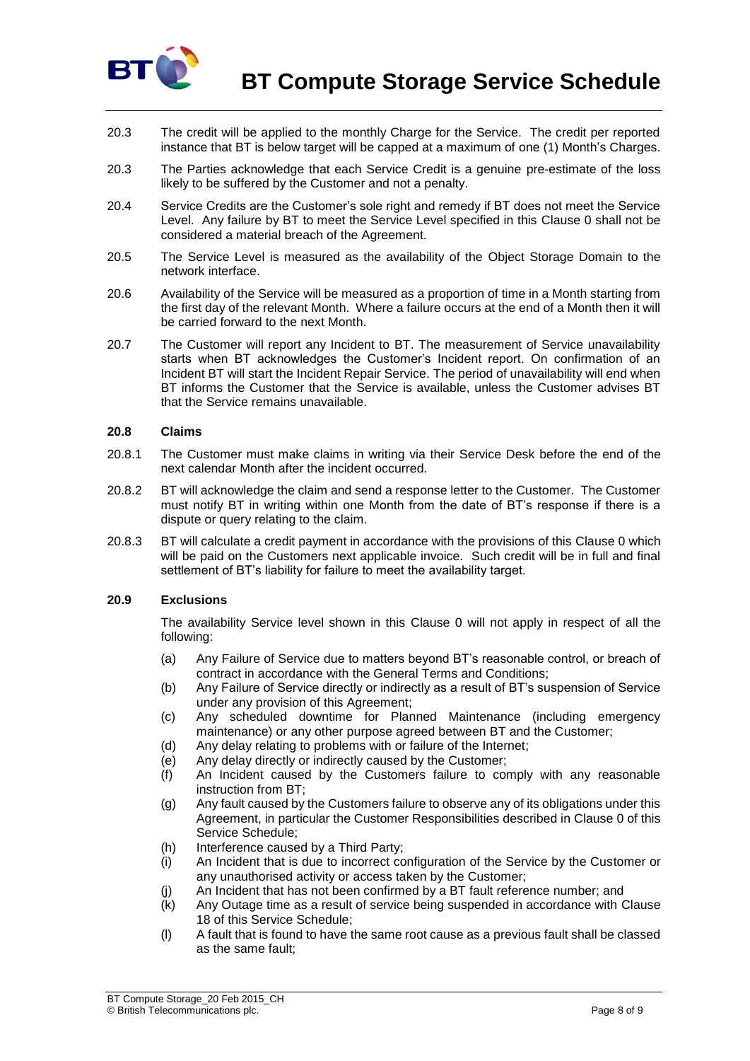

**BT Compute Storage Service Schedule**

- 20.3 The credit will be applied to the monthly Charge for the Service. The credit per reported instance that BT is below target will be capped at a maximum of one (1) Month's Charges.
- 20.3 The Parties acknowledge that each Service Credit is a genuine pre-estimate of the loss likely to be suffered by the Customer and not a penalty.
- 20.4 Service Credits are the Customer's sole right and remedy if BT does not meet the Service Level. Any failure by BT to meet the Service Level specified in this Clause [0](#page-6-0) shall not be considered a material breach of the Agreement.
- 20.5 The Service Level is measured as the availability of the Object Storage Domain to the network interface.
- 20.6 Availability of the Service will be measured as a proportion of time in a Month starting from the first day of the relevant Month. Where a failure occurs at the end of a Month then it will be carried forward to the next Month.
- 20.7 The Customer will report any Incident to BT. The measurement of Service unavailability starts when BT acknowledges the Customer's Incident report. On confirmation of an Incident BT will start the Incident Repair Service. The period of unavailability will end when BT informs the Customer that the Service is available, unless the Customer advises BT that the Service remains unavailable.

### **20.8 Claims**

- 20.8.1 The Customer must make claims in writing via their Service Desk before the end of the next calendar Month after the incident occurred.
- 20.8.2 BT will acknowledge the claim and send a response letter to the Customer. The Customer must notify BT in writing within one Month from the date of BT's response if there is a dispute or query relating to the claim.
- 20.8.3 BT will calculate a credit payment in accordance with the provisions of this Clause [0](#page-6-0) which will be paid on the Customers next applicable invoice. Such credit will be in full and final settlement of BT's liability for failure to meet the availability target.

# **20.9 Exclusions**

The availability Service level shown in this Clause [0](#page-6-0) will not apply in respect of all the following:

- (a) Any Failure of Service due to matters beyond BT's reasonable control, or breach of contract in accordance with the General Terms and Conditions;
- (b) Any Failure of Service directly or indirectly as a result of BT's suspension of Service under any provision of this Agreement;
- (c) Any scheduled downtime for Planned Maintenance (including emergency maintenance) or any other purpose agreed between BT and the Customer;
- (d) Any delay relating to problems with or failure of the Internet;
- (e) Any delay directly or indirectly caused by the Customer;
- (f) An Incident caused by the Customers failure to comply with any reasonable instruction from BT;
- (g) Any fault caused by the Customers failure to observe any of its obligations under this Agreement, in particular the Customer Responsibilities described in Clause [0](#page-4-0) of this Service Schedule;
- (h) Interference caused by a Third Party;
- (i) An Incident that is due to incorrect configuration of the Service by the Customer or any unauthorised activity or access taken by the Customer;
- (j) An Incident that has not been confirmed by a BT fault reference number; and
- (k) Any Outage time as a result of service being suspended in accordance with Clause 18 of this Service Schedule;
- (l) A fault that is found to have the same root cause as a previous fault shall be classed as the same fault;